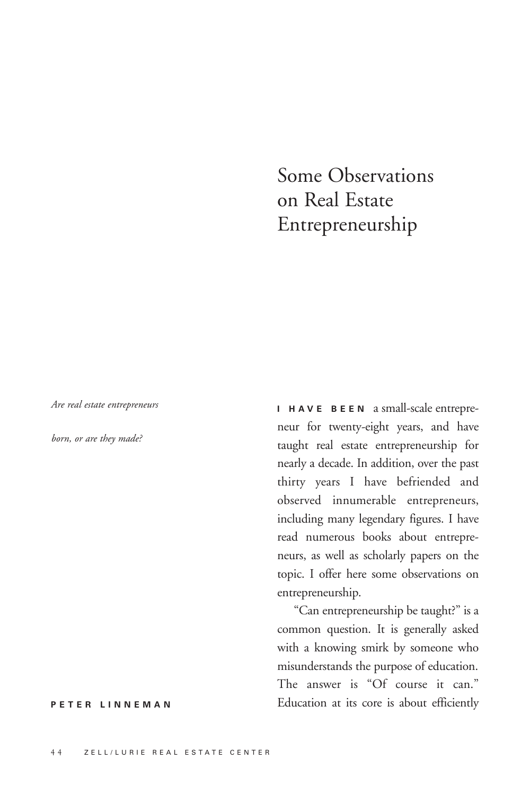Some Observations on Real Estate Entrepreneurship

*Are real estate entrepreneurs*

*born, or are they made?*

#### **P E T E R L I N N E M A N**

**I H A V E B E E N** a small-scale entrepreneur for twenty-eight years, and have taught real estate entrepreneurship for nearly a decade. In addition, over the past thirty years I have befriended and observed innumerable entrepreneurs, including many legendary figures. I have read numerous books about entrepreneurs, as well as scholarly papers on the topic. I offer here some observations on entrepreneurship.

"Can entrepreneurship be taught?" is a common question. It is generally asked with a knowing smirk by someone who misunderstands the purpose of education. The answer is "Of course it can." Education at its core is about efficiently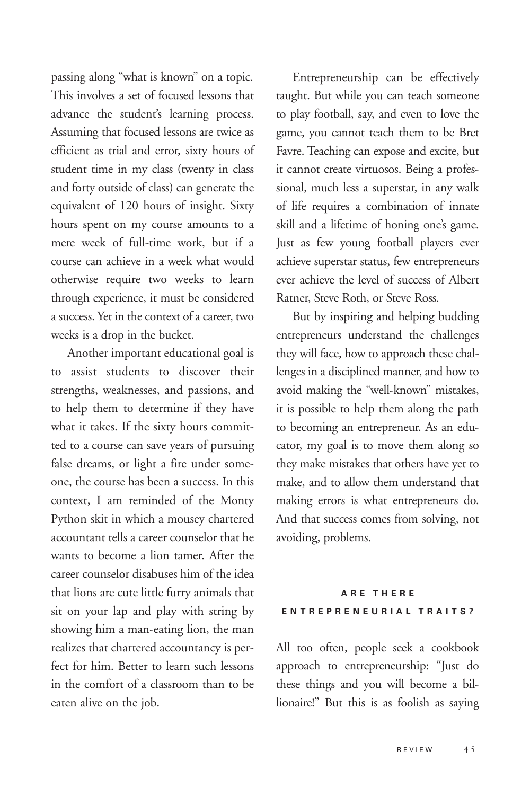passing along "what is known" on a topic. This involves a set of focused lessons that advance the student's learning process. Assuming that focused lessons are twice as efficient as trial and error, sixty hours of student time in my class (twenty in class and forty outside of class) can generate the equivalent of 120 hours of insight. Sixty hours spent on my course amounts to a mere week of full-time work, but if a course can achieve in a week what would otherwise require two weeks to learn through experience, it must be considered a success. Yet in the context of a career, two weeks is a drop in the bucket.

Another important educational goal is to assist students to discover their strengths, weaknesses, and passions, and to help them to determine if they have what it takes. If the sixty hours committed to a course can save years of pursuing false dreams, or light a fire under someone, the course has been a success. In this context, I am reminded of the Monty Python skit in which a mousey chartered accountant tells a career counselor that he wants to become a lion tamer. After the career counselor disabuses him of the idea that lions are cute little furry animals that sit on your lap and play with string by showing him a man-eating lion, the man realizes that chartered accountancy is perfect for him. Better to learn such lessons in the comfort of a classroom than to be eaten alive on the job.

Entrepreneurship can be effectively taught. But while you can teach someone to play football, say, and even to love the game, you cannot teach them to be Bret Favre. Teaching can expose and excite, but it cannot create virtuosos. Being a professional, much less a superstar, in any walk of life requires a combination of innate skill and a lifetime of honing one's game. Just as few young football players ever achieve superstar status, few entrepreneurs ever achieve the level of success of Albert Ratner, Steve Roth, or Steve Ross.

But by inspiring and helping budding entrepreneurs understand the challenges they will face, how to approach these challenges in a disciplined manner, and how to avoid making the "well-known" mistakes, it is possible to help them along the path to becoming an entrepreneur. As an educator, my goal is to move them along so they make mistakes that others have yet to make, and to allow them understand that making errors is what entrepreneurs do. And that success comes from solving, not avoiding, problems.

# **A R E T H E R E ENTREPRENEURIAL TRAITS?**

All too often, people seek a cookbook approach to entrepreneurship: "Just do these things and you will become a billionaire!" But this is as foolish as saying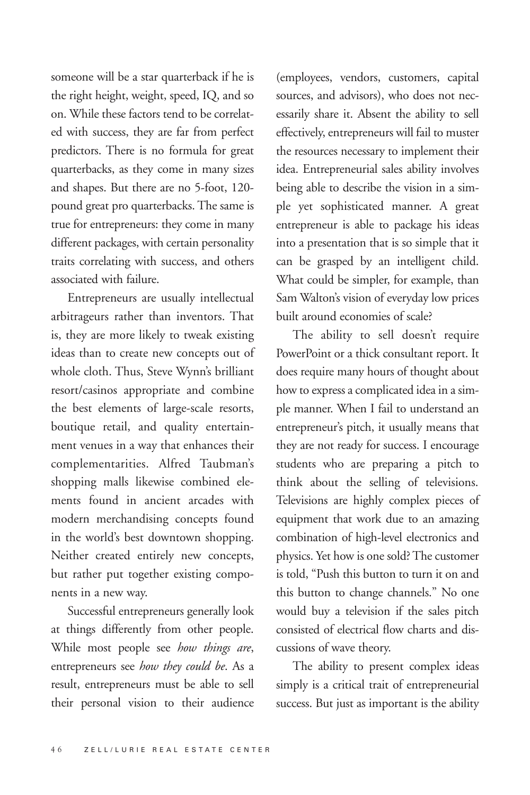someone will be a star quarterback if he is the right height, weight, speed, IQ, and so on. While these factors tend to be correlated with success, they are far from perfect predictors. There is no formula for great quarterbacks, as they come in many sizes and shapes. But there are no 5-foot, 120 pound great pro quarterbacks. The same is true for entrepreneurs: they come in many different packages, with certain personality traits correlating with success, and others associated with failure.

Entrepreneurs are usually intellectual arbitrageurs rather than inventors. That is, they are more likely to tweak existing ideas than to create new concepts out of whole cloth. Thus, Steve Wynn's brilliant resort/casinos appropriate and combine the best elements of large-scale resorts, boutique retail, and quality entertainment venues in a way that enhances their complementarities. Alfred Taubman's shopping malls likewise combined elements found in ancient arcades with modern merchandising concepts found in the world's best downtown shopping. Neither created entirely new concepts, but rather put together existing components in a new way.

Successful entrepreneurs generally look at things differently from other people. While most people see *how things are*, entrepreneurs see *how they could be*. As a result, entrepreneurs must be able to sell their personal vision to their audience

(employees, vendors, customers, capital sources, and advisors), who does not necessarily share it. Absent the ability to sell effectively, entrepreneurs will fail to muster the resources necessary to implement their idea. Entrepreneurial sales ability involves being able to describe the vision in a simple yet sophisticated manner. A great entrepreneur is able to package his ideas into a presentation that is so simple that it can be grasped by an intelligent child. What could be simpler, for example, than Sam Walton's vision of everyday low prices built around economies of scale?

The ability to sell doesn't require PowerPoint or a thick consultant report. It does require many hours of thought about how to express a complicated idea in a simple manner. When I fail to understand an entrepreneur's pitch, it usually means that they are not ready for success. I encourage students who are preparing a pitch to think about the selling of televisions. Televisions are highly complex pieces of equipment that work due to an amazing combination of high-level electronics and physics. Yet how is one sold? The customer is told, "Push this button to turn it on and this button to change channels." No one would buy a television if the sales pitch consisted of electrical flow charts and discussions of wave theory.

The ability to present complex ideas simply is a critical trait of entrepreneurial success. But just as important is the ability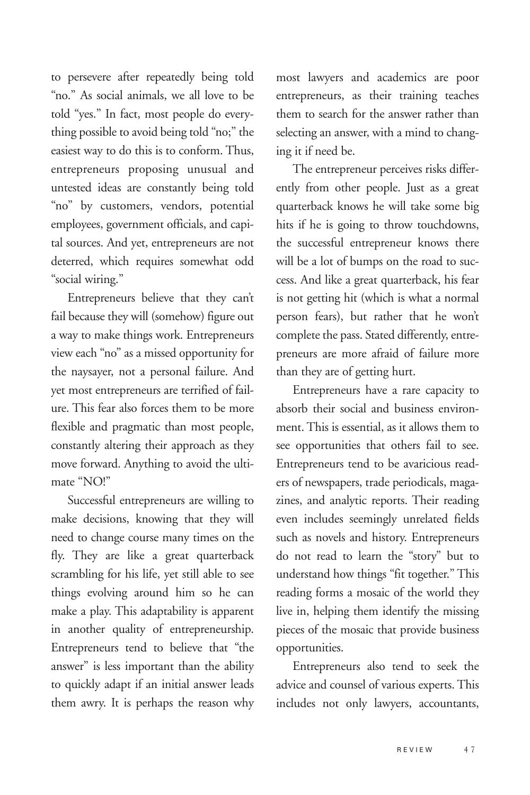to persevere after repeatedly being told "no." As social animals, we all love to be told "yes." In fact, most people do everything possible to avoid being told "no;" the easiest way to do this is to conform. Thus, entrepreneurs proposing unusual and untested ideas are constantly being told "no" by customers, vendors, potential employees, government officials, and capital sources. And yet, entrepreneurs are not deterred, which requires somewhat odd "social wiring."

Entrepreneurs believe that they can't fail because they will (somehow) figure out a way to make things work. Entrepreneurs view each "no" as a missed opportunity for the naysayer, not a personal failure. And yet most entrepreneurs are terrified of failure. This fear also forces them to be more flexible and pragmatic than most people, constantly altering their approach as they move forward. Anything to avoid the ultimate "NO!"

Successful entrepreneurs are willing to make decisions, knowing that they will need to change course many times on the fly. They are like a great quarterback scrambling for his life, yet still able to see things evolving around him so he can make a play. This adaptability is apparent in another quality of entrepreneurship. Entrepreneurs tend to believe that "the answer" is less important than the ability to quickly adapt if an initial answer leads them awry. It is perhaps the reason why

most lawyers and academics are poor entrepreneurs, as their training teaches them to search for the answer rather than selecting an answer, with a mind to changing it if need be.

The entrepreneur perceives risks differently from other people. Just as a great quarterback knows he will take some big hits if he is going to throw touchdowns, the successful entrepreneur knows there will be a lot of bumps on the road to success. And like a great quarterback, his fear is not getting hit (which is what a normal person fears), but rather that he won't complete the pass. Stated differently, entrepreneurs are more afraid of failure more than they are of getting hurt.

Entrepreneurs have a rare capacity to absorb their social and business environment. This is essential, as it allows them to see opportunities that others fail to see. Entrepreneurs tend to be avaricious readers of newspapers, trade periodicals, magazines, and analytic reports. Their reading even includes seemingly unrelated fields such as novels and history. Entrepreneurs do not read to learn the "story" but to understand how things "fit together." This reading forms a mosaic of the world they live in, helping them identify the missing pieces of the mosaic that provide business opportunities.

Entrepreneurs also tend to seek the advice and counsel of various experts. This includes not only lawyers, accountants,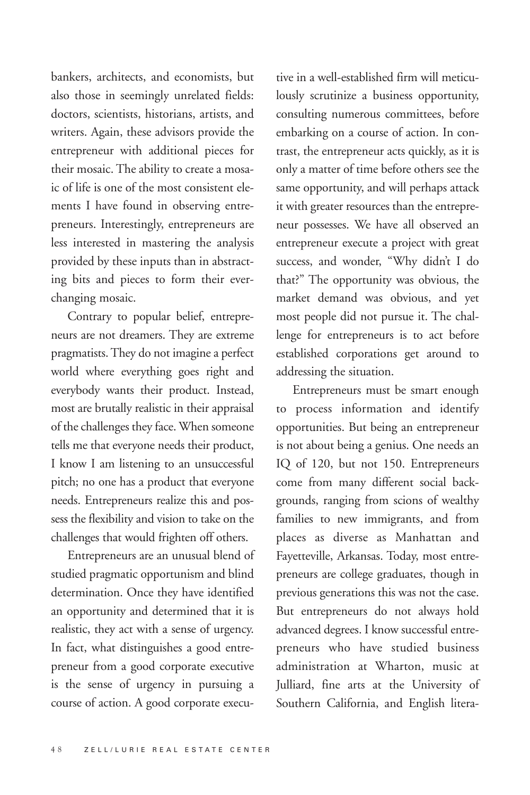bankers, architects, and economists, but also those in seemingly unrelated fields: doctors, scientists, historians, artists, and writers. Again, these advisors provide the entrepreneur with additional pieces for their mosaic. The ability to create a mosaic of life is one of the most consistent elements I have found in observing entrepreneurs. Interestingly, entrepreneurs are less interested in mastering the analysis provided by these inputs than in abstracting bits and pieces to form their everchanging mosaic.

Contrary to popular belief, entrepreneurs are not dreamers. They are extreme pragmatists. They do not imagine a perfect world where everything goes right and everybody wants their product. Instead, most are brutally realistic in their appraisal of the challenges they face. When someone tells me that everyone needs their product, I know I am listening to an unsuccessful pitch; no one has a product that everyone needs. Entrepreneurs realize this and possess the flexibility and vision to take on the challenges that would frighten off others.

Entrepreneurs are an unusual blend of studied pragmatic opportunism and blind determination. Once they have identified an opportunity and determined that it is realistic, they act with a sense of urgency. In fact, what distinguishes a good entrepreneur from a good corporate executive is the sense of urgency in pursuing a course of action. A good corporate execu-

tive in a well-established firm will meticulously scrutinize a business opportunity, consulting numerous committees, before embarking on a course of action. In contrast, the entrepreneur acts quickly, as it is only a matter of time before others see the same opportunity, and will perhaps attack it with greater resources than the entrepreneur possesses. We have all observed an entrepreneur execute a project with great success, and wonder, "Why didn't I do that?" The opportunity was obvious, the market demand was obvious, and yet most people did not pursue it. The challenge for entrepreneurs is to act before established corporations get around to addressing the situation.

Entrepreneurs must be smart enough to process information and identify opportunities. But being an entrepreneur is not about being a genius. One needs an IQ of 120, but not 150. Entrepreneurs come from many different social backgrounds, ranging from scions of wealthy families to new immigrants, and from places as diverse as Manhattan and Fayetteville, Arkansas. Today, most entrepreneurs are college graduates, though in previous generations this was not the case. But entrepreneurs do not always hold advanced degrees. I know successful entrepreneurs who have studied business administration at Wharton, music at Julliard, fine arts at the University of Southern California, and English litera-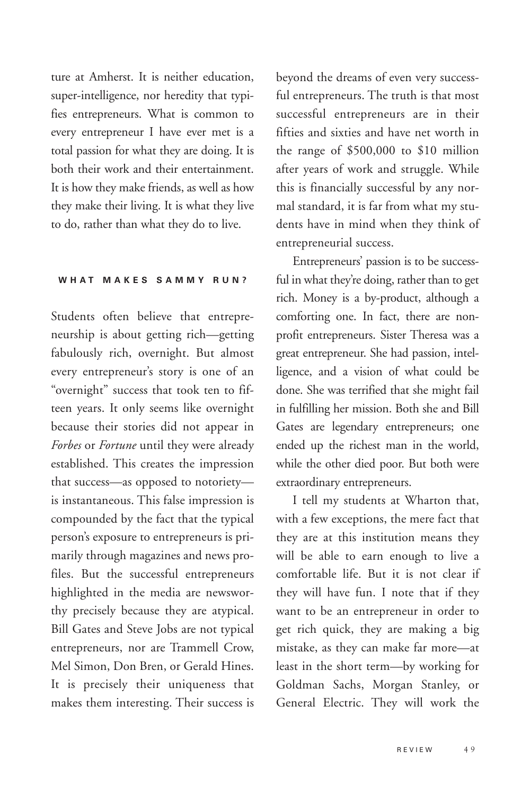ture at Amherst. It is neither education, super-intelligence, nor heredity that typifies entrepreneurs. What is common to every entrepreneur I have ever met is a total passion for what they are doing. It is both their work and their entertainment. It is how they make friends, as well as how they make their living. It is what they live to do, rather than what they do to live.

# WHAT MAKES SAMMY RUN?

Students often believe that entrepreneurship is about getting rich—getting fabulously rich, overnight. But almost every entrepreneur's story is one of an "overnight" success that took ten to fifteen years. It only seems like overnight because their stories did not appear in *Forbes* or *Fortune* until they were already established. This creates the impression that success—as opposed to notoriety is instantaneous. This false impression is compounded by the fact that the typical person's exposure to entrepreneurs is primarily through magazines and news profiles. But the successful entrepreneurs highlighted in the media are newsworthy precisely because they are atypical. Bill Gates and Steve Jobs are not typical entrepreneurs, nor are Trammell Crow, Mel Simon, Don Bren, or Gerald Hines. It is precisely their uniqueness that makes them interesting. Their success is

beyond the dreams of even very successful entrepreneurs. The truth is that most successful entrepreneurs are in their fifties and sixties and have net worth in the range of \$500,000 to \$10 million after years of work and struggle. While this is financially successful by any normal standard, it is far from what my students have in mind when they think of entrepreneurial success.

Entrepreneurs' passion is to be successful in what they're doing, rather than to get rich. Money is a by-product, although a comforting one. In fact, there are nonprofit entrepreneurs. Sister Theresa was a great entrepreneur. She had passion, intelligence, and a vision of what could be done. She was terrified that she might fail in fulfilling her mission. Both she and Bill Gates are legendary entrepreneurs; one ended up the richest man in the world, while the other died poor. But both were extraordinary entrepreneurs.

I tell my students at Wharton that, with a few exceptions, the mere fact that they are at this institution means they will be able to earn enough to live a comfortable life. But it is not clear if they will have fun. I note that if they want to be an entrepreneur in order to get rich quick, they are making a big mistake, as they can make far more—at least in the short term—by working for Goldman Sachs, Morgan Stanley, or General Electric. They will work the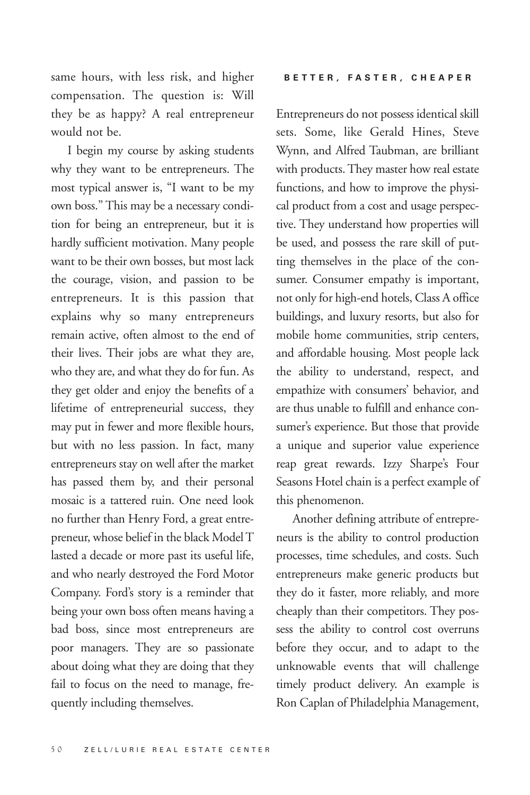same hours, with less risk, and higher compensation. The question is: Will they be as happy? A real entrepreneur would not be.

I begin my course by asking students why they want to be entrepreneurs. The most typical answer is, "I want to be my own boss." This may be a necessary condition for being an entrepreneur, but it is hardly sufficient motivation. Many people want to be their own bosses, but most lack the courage, vision, and passion to be entrepreneurs. It is this passion that explains why so many entrepreneurs remain active, often almost to the end of their lives. Their jobs are what they are, who they are, and what they do for fun. As they get older and enjoy the benefits of a lifetime of entrepreneurial success, they may put in fewer and more flexible hours, but with no less passion. In fact, many entrepreneurs stay on well after the market has passed them by, and their personal mosaic is a tattered ruin. One need look no further than Henry Ford, a great entrepreneur, whose belief in the black Model T lasted a decade or more past its useful life, and who nearly destroyed the Ford Motor Company. Ford's story is a reminder that being your own boss often means having a bad boss, since most entrepreneurs are poor managers. They are so passionate about doing what they are doing that they fail to focus on the need to manage, frequently including themselves.

#### **B E T T E R , F A S T E R , C H E A P E R**

Entrepreneurs do not possess identical skill sets. Some, like Gerald Hines, Steve Wynn, and Alfred Taubman, are brilliant with products. They master how real estate functions, and how to improve the physical product from a cost and usage perspective. They understand how properties will be used, and possess the rare skill of putting themselves in the place of the consumer. Consumer empathy is important, not only for high-end hotels, Class A office buildings, and luxury resorts, but also for mobile home communities, strip centers, and affordable housing. Most people lack the ability to understand, respect, and empathize with consumers' behavior, and are thus unable to fulfill and enhance consumer's experience. But those that provide a unique and superior value experience reap great rewards. Izzy Sharpe's Four Seasons Hotel chain is a perfect example of this phenomenon.

Another defining attribute of entrepreneurs is the ability to control production processes, time schedules, and costs. Such entrepreneurs make generic products but they do it faster, more reliably, and more cheaply than their competitors. They possess the ability to control cost overruns before they occur, and to adapt to the unknowable events that will challenge timely product delivery. An example is Ron Caplan of Philadelphia Management,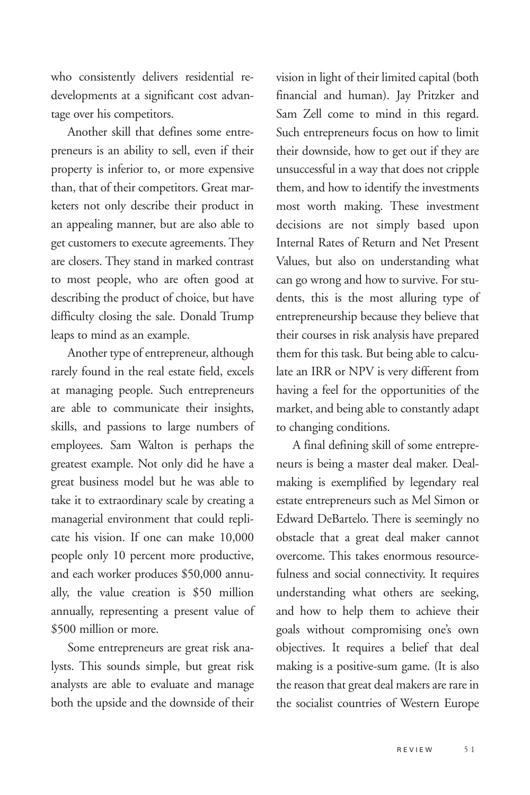who consistently delivers residential redevelopments at a significant cost advantage over his competitors.

Another skill that defines some entrepreneurs is an ability to sell, even if their property is inferior to, or more expensive than, that of their competitors. Great marketers not only describe their product in an appealing manner, but are also able to get customers to execute agreements. They are closers. They stand in marked contrast to most people, who are often good at describing the product of choice, but have difficulty closing the sale. Donald Trump leaps to mind as an example.

Another type of entrepreneur, although rarely found in the real estate field, excels at managing people. Such entrepreneurs are able to communicate their insights, skills, and passions to large numbers of employees. Sam Walton is perhaps the greatest example. Not only did he have a great business model but he was able to take it to extraordinary scale by creating a managerial environment that could replicate his vision. If one can make 10,000 people only 10 percent more productive, and each worker produces \$50,000 annually, the value creation is \$50 million annually, representing a present value of \$500 million or more.

Some entrepreneurs are great risk analysts. This sounds simple, but great risk analysts are able to evaluate and manage both the upside and the downside of their

vision in light of their limited capital (both financial and human). Jay Pritzker and Sam Zell come to mind in this regard. Such entrepreneurs focus on how to limit their downside, how to get out if they are unsuccessful in a way that does not cripple them, and how to identify the investments most worth making. These investment decisions are not simply based upon Internal Rates of Return and Net Present Values, but also on understanding what can go wrong and how to survive. For students, this is the most alluring type of entrepreneurship because they believe that their courses in risk analysis have prepared them for this task. But being able to calculate an IRR or NPV is very different from having a feel for the opportunities of the market, and being able to constantly adapt to changing conditions.

A final defining skill of some entrepreneurs is being a master deal maker. Dealmaking is exemplified by legendary real estate entrepreneurs such as Mel Simon or Edward DeBartelo. There is seemingly no obstacle that a great deal maker cannot overcome. This takes enormous resourcefulness and social connectivity. It requires understanding what others are seeking, and how to help them to achieve their goals without compromising one's own objectives. It requires a belief that deal making is a positive-sum game. (It is also the reason that great deal makers are rare in the socialist countries of Western Europe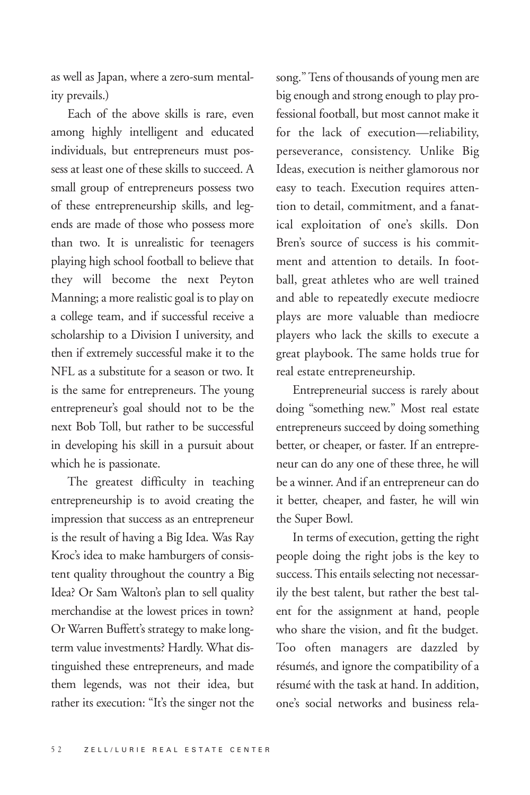as well as Japan, where a zero-sum mentality prevails.)

Each of the above skills is rare, even among highly intelligent and educated individuals, but entrepreneurs must possess at least one of these skills to succeed. A small group of entrepreneurs possess two of these entrepreneurship skills, and legends are made of those who possess more than two. It is unrealistic for teenagers playing high school football to believe that they will become the next Peyton Manning; a more realistic goal is to play on a college team, and if successful receive a scholarship to a Division I university, and then if extremely successful make it to the NFL as a substitute for a season or two. It is the same for entrepreneurs. The young entrepreneur's goal should not to be the next Bob Toll, but rather to be successful in developing his skill in a pursuit about which he is passionate.

The greatest difficulty in teaching entrepreneurship is to avoid creating the impression that success as an entrepreneur is the result of having a Big Idea. Was Ray Kroc's idea to make hamburgers of consistent quality throughout the country a Big Idea? Or Sam Walton's plan to sell quality merchandise at the lowest prices in town? Or Warren Buffett's strategy to make longterm value investments? Hardly. What distinguished these entrepreneurs, and made them legends, was not their idea, but rather its execution: "It's the singer not the

song." Tens of thousands of young men are big enough and strong enough to play professional football, but most cannot make it for the lack of execution—reliability, perseverance, consistency. Unlike Big Ideas, execution is neither glamorous nor easy to teach. Execution requires attention to detail, commitment, and a fanatical exploitation of one's skills. Don Bren's source of success is his commitment and attention to details. In football, great athletes who are well trained and able to repeatedly execute mediocre plays are more valuable than mediocre players who lack the skills to execute a great playbook. The same holds true for real estate entrepreneurship.

Entrepreneurial success is rarely about doing "something new." Most real estate entrepreneurs succeed by doing something better, or cheaper, or faster. If an entrepreneur can do any one of these three, he will be a winner. And if an entrepreneur can do it better, cheaper, and faster, he will win the Super Bowl.

In terms of execution, getting the right people doing the right jobs is the key to success. This entails selecting not necessarily the best talent, but rather the best talent for the assignment at hand, people who share the vision, and fit the budget. Too often managers are dazzled by résumés, and ignore the compatibility of a résumé with the task at hand. In addition, one's social networks and business rela-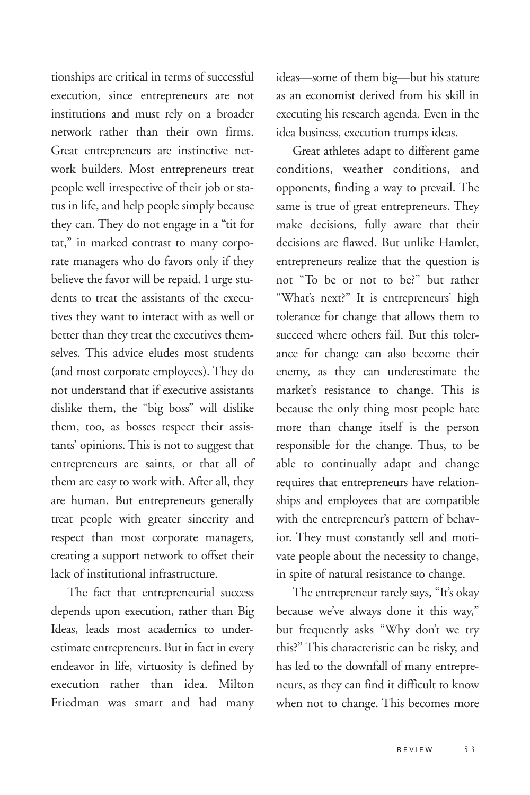tionships are critical in terms of successful execution, since entrepreneurs are not institutions and must rely on a broader network rather than their own firms. Great entrepreneurs are instinctive network builders. Most entrepreneurs treat people well irrespective of their job or status in life, and help people simply because they can. They do not engage in a "tit for tat," in marked contrast to many corporate managers who do favors only if they believe the favor will be repaid. I urge students to treat the assistants of the executives they want to interact with as well or better than they treat the executives themselves. This advice eludes most students (and most corporate employees). They do not understand that if executive assistants dislike them, the "big boss" will dislike them, too, as bosses respect their assistants' opinions. This is not to suggest that entrepreneurs are saints, or that all of them are easy to work with. After all, they are human. But entrepreneurs generally treat people with greater sincerity and respect than most corporate managers, creating a support network to offset their lack of institutional infrastructure.

The fact that entrepreneurial success depends upon execution, rather than Big Ideas, leads most academics to underestimate entrepreneurs. But in fact in every endeavor in life, virtuosity is defined by execution rather than idea. Milton Friedman was smart and had many ideas—some of them big—but his stature as an economist derived from his skill in executing his research agenda. Even in the idea business, execution trumps ideas.

Great athletes adapt to different game conditions, weather conditions, and opponents, finding a way to prevail. The same is true of great entrepreneurs. They make decisions, fully aware that their decisions are flawed. But unlike Hamlet, entrepreneurs realize that the question is not "To be or not to be?" but rather "What's next?" It is entrepreneurs' high tolerance for change that allows them to succeed where others fail. But this tolerance for change can also become their enemy, as they can underestimate the market's resistance to change. This is because the only thing most people hate more than change itself is the person responsible for the change. Thus, to be able to continually adapt and change requires that entrepreneurs have relationships and employees that are compatible with the entrepreneur's pattern of behavior. They must constantly sell and motivate people about the necessity to change, in spite of natural resistance to change.

The entrepreneur rarely says, "It's okay because we've always done it this way," but frequently asks "Why don't we try this?" This characteristic can be risky, and has led to the downfall of many entrepreneurs, as they can find it difficult to know when not to change. This becomes more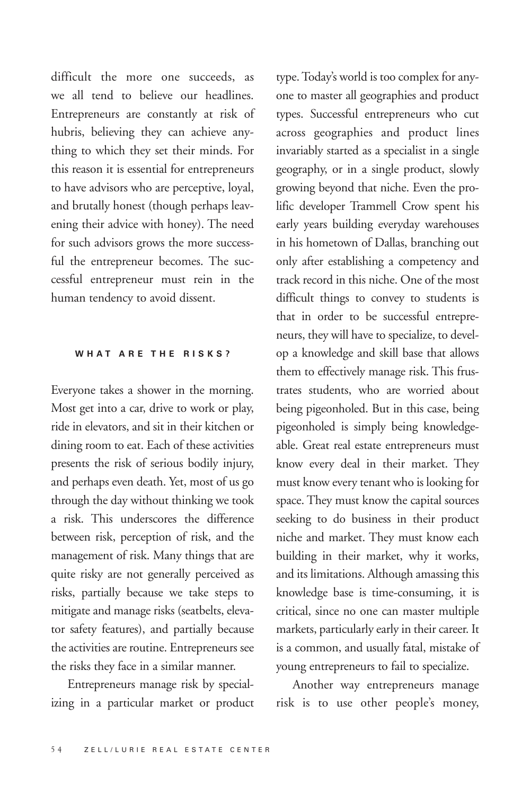difficult the more one succeeds, as we all tend to believe our headlines. Entrepreneurs are constantly at risk of hubris, believing they can achieve anything to which they set their minds. For this reason it is essential for entrepreneurs to have advisors who are perceptive, loyal, and brutally honest (though perhaps leavening their advice with honey). The need for such advisors grows the more successful the entrepreneur becomes. The successful entrepreneur must rein in the human tendency to avoid dissent.

## **W H A T A R E T H E R I S K S ?**

Everyone takes a shower in the morning. Most get into a car, drive to work or play, ride in elevators, and sit in their kitchen or dining room to eat. Each of these activities presents the risk of serious bodily injury, and perhaps even death. Yet, most of us go through the day without thinking we took a risk. This underscores the difference between risk, perception of risk, and the management of risk. Many things that are quite risky are not generally perceived as risks, partially because we take steps to mitigate and manage risks (seatbelts, elevator safety features), and partially because the activities are routine. Entrepreneurs see the risks they face in a similar manner.

Entrepreneurs manage risk by specializing in a particular market or product

type. Today's world is too complex for anyone to master all geographies and product types. Successful entrepreneurs who cut across geographies and product lines invariably started as a specialist in a single geography, or in a single product, slowly growing beyond that niche. Even the prolific developer Trammell Crow spent his early years building everyday warehouses in his hometown of Dallas, branching out only after establishing a competency and track record in this niche. One of the most difficult things to convey to students is that in order to be successful entrepreneurs, they will have to specialize, to develop a knowledge and skill base that allows them to effectively manage risk. This frustrates students, who are worried about being pigeonholed. But in this case, being pigeonholed is simply being knowledgeable. Great real estate entrepreneurs must know every deal in their market. They must know every tenant who is looking for space. They must know the capital sources seeking to do business in their product niche and market. They must know each building in their market, why it works, and its limitations. Although amassing this knowledge base is time-consuming, it is critical, since no one can master multiple markets, particularly early in their career. It is a common, and usually fatal, mistake of young entrepreneurs to fail to specialize.

Another way entrepreneurs manage risk is to use other people's money,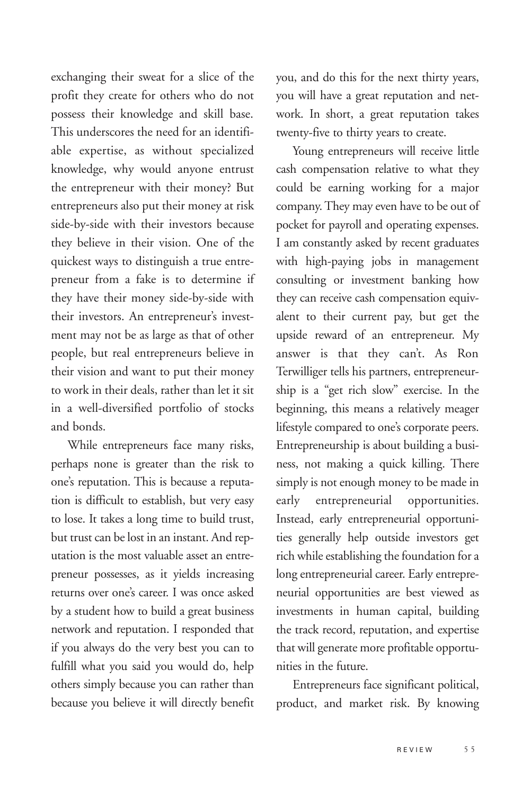exchanging their sweat for a slice of the profit they create for others who do not possess their knowledge and skill base. This underscores the need for an identifiable expertise, as without specialized knowledge, why would anyone entrust the entrepreneur with their money? But entrepreneurs also put their money at risk side-by-side with their investors because they believe in their vision. One of the quickest ways to distinguish a true entrepreneur from a fake is to determine if they have their money side-by-side with their investors. An entrepreneur's investment may not be as large as that of other people, but real entrepreneurs believe in their vision and want to put their money to work in their deals, rather than let it sit in a well-diversified portfolio of stocks and bonds.

While entrepreneurs face many risks, perhaps none is greater than the risk to one's reputation. This is because a reputation is difficult to establish, but very easy to lose. It takes a long time to build trust, but trust can be lost in an instant. And reputation is the most valuable asset an entrepreneur possesses, as it yields increasing returns over one's career. I was once asked by a student how to build a great business network and reputation. I responded that if you always do the very best you can to fulfill what you said you would do, help others simply because you can rather than because you believe it will directly benefit

you, and do this for the next thirty years, you will have a great reputation and network. In short, a great reputation takes twenty-five to thirty years to create.

Young entrepreneurs will receive little cash compensation relative to what they could be earning working for a major company. They may even have to be out of pocket for payroll and operating expenses. I am constantly asked by recent graduates with high-paying jobs in management consulting or investment banking how they can receive cash compensation equivalent to their current pay, but get the upside reward of an entrepreneur. My answer is that they can't. As Ron Terwilliger tells his partners, entrepreneurship is a "get rich slow" exercise. In the beginning, this means a relatively meager lifestyle compared to one's corporate peers. Entrepreneurship is about building a business, not making a quick killing. There simply is not enough money to be made in early entrepreneurial opportunities. Instead, early entrepreneurial opportunities generally help outside investors get rich while establishing the foundation for a long entrepreneurial career. Early entrepreneurial opportunities are best viewed as investments in human capital, building the track record, reputation, and expertise that will generate more profitable opportunities in the future.

Entrepreneurs face significant political, product, and market risk. By knowing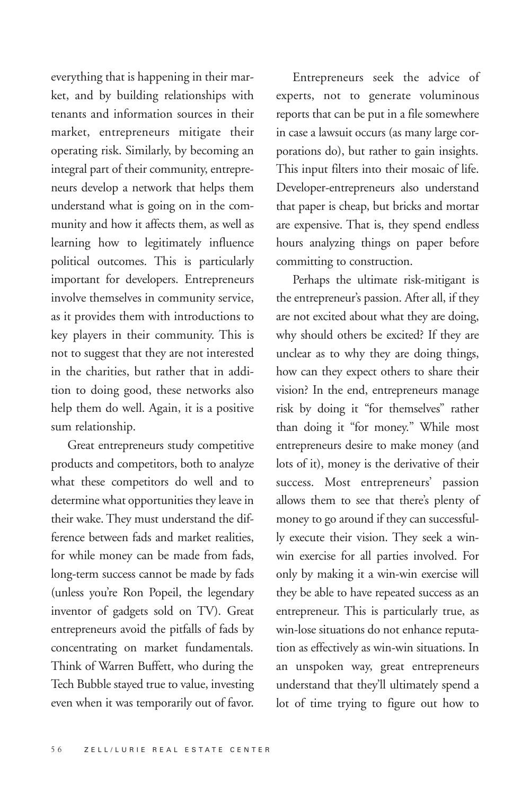everything that is happening in their market, and by building relationships with tenants and information sources in their market, entrepreneurs mitigate their operating risk. Similarly, by becoming an integral part of their community, entrepreneurs develop a network that helps them understand what is going on in the community and how it affects them, as well as learning how to legitimately influence political outcomes. This is particularly important for developers. Entrepreneurs involve themselves in community service, as it provides them with introductions to key players in their community. This is not to suggest that they are not interested in the charities, but rather that in addition to doing good, these networks also help them do well. Again, it is a positive sum relationship.

Great entrepreneurs study competitive products and competitors, both to analyze what these competitors do well and to determine what opportunities they leave in their wake. They must understand the difference between fads and market realities, for while money can be made from fads, long-term success cannot be made by fads (unless you're Ron Popeil, the legendary inventor of gadgets sold on TV). Great entrepreneurs avoid the pitfalls of fads by concentrating on market fundamentals. Think of Warren Buffett, who during the Tech Bubble stayed true to value, investing even when it was temporarily out of favor.

Entrepreneurs seek the advice of experts, not to generate voluminous reports that can be put in a file somewhere in case a lawsuit occurs (as many large corporations do), but rather to gain insights. This input filters into their mosaic of life. Developer-entrepreneurs also understand that paper is cheap, but bricks and mortar are expensive. That is, they spend endless hours analyzing things on paper before committing to construction.

Perhaps the ultimate risk-mitigant is the entrepreneur's passion. After all, if they are not excited about what they are doing, why should others be excited? If they are unclear as to why they are doing things, how can they expect others to share their vision? In the end, entrepreneurs manage risk by doing it "for themselves" rather than doing it "for money." While most entrepreneurs desire to make money (and lots of it), money is the derivative of their success. Most entrepreneurs' passion allows them to see that there's plenty of money to go around if they can successfully execute their vision. They seek a winwin exercise for all parties involved. For only by making it a win-win exercise will they be able to have repeated success as an entrepreneur. This is particularly true, as win-lose situations do not enhance reputation as effectively as win-win situations. In an unspoken way, great entrepreneurs understand that they'll ultimately spend a lot of time trying to figure out how to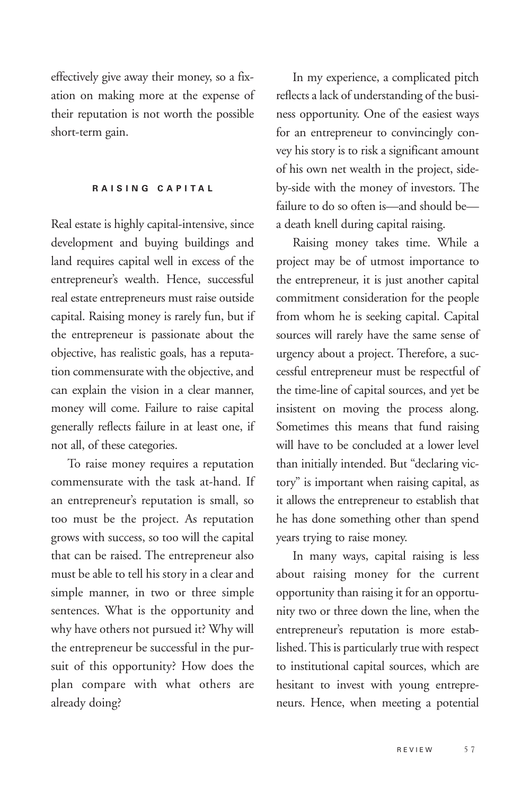effectively give away their money, so a fixation on making more at the expense of their reputation is not worth the possible short-term gain.

## **R A I S I N G C A P I T A L**

Real estate is highly capital-intensive, since development and buying buildings and land requires capital well in excess of the entrepreneur's wealth. Hence, successful real estate entrepreneurs must raise outside capital. Raising money is rarely fun, but if the entrepreneur is passionate about the objective, has realistic goals, has a reputation commensurate with the objective, and can explain the vision in a clear manner, money will come. Failure to raise capital generally reflects failure in at least one, if not all, of these categories.

To raise money requires a reputation commensurate with the task at-hand. If an entrepreneur's reputation is small, so too must be the project. As reputation grows with success, so too will the capital that can be raised. The entrepreneur also must be able to tell his story in a clear and simple manner, in two or three simple sentences. What is the opportunity and why have others not pursued it? Why will the entrepreneur be successful in the pursuit of this opportunity? How does the plan compare with what others are already doing?

In my experience, a complicated pitch reflects a lack of understanding of the business opportunity. One of the easiest ways for an entrepreneur to convincingly convey his story is to risk a significant amount of his own net wealth in the project, sideby-side with the money of investors. The failure to do so often is—and should be a death knell during capital raising.

Raising money takes time. While a project may be of utmost importance to the entrepreneur, it is just another capital commitment consideration for the people from whom he is seeking capital. Capital sources will rarely have the same sense of urgency about a project. Therefore, a successful entrepreneur must be respectful of the time-line of capital sources, and yet be insistent on moving the process along. Sometimes this means that fund raising will have to be concluded at a lower level than initially intended. But "declaring victory" is important when raising capital, as it allows the entrepreneur to establish that he has done something other than spend years trying to raise money.

In many ways, capital raising is less about raising money for the current opportunity than raising it for an opportunity two or three down the line, when the entrepreneur's reputation is more established. This is particularly true with respect to institutional capital sources, which are hesitant to invest with young entrepreneurs. Hence, when meeting a potential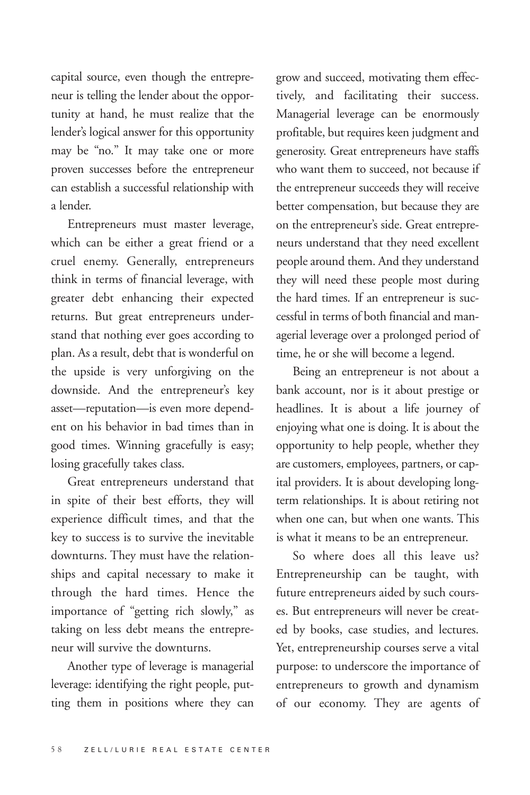capital source, even though the entrepreneur is telling the lender about the opportunity at hand, he must realize that the lender's logical answer for this opportunity may be "no." It may take one or more proven successes before the entrepreneur can establish a successful relationship with a lender.

Entrepreneurs must master leverage, which can be either a great friend or a cruel enemy. Generally, entrepreneurs think in terms of financial leverage, with greater debt enhancing their expected returns. But great entrepreneurs understand that nothing ever goes according to plan. As a result, debt that is wonderful on the upside is very unforgiving on the downside. And the entrepreneur's key asset—reputation—is even more dependent on his behavior in bad times than in good times. Winning gracefully is easy; losing gracefully takes class.

Great entrepreneurs understand that in spite of their best efforts, they will experience difficult times, and that the key to success is to survive the inevitable downturns. They must have the relationships and capital necessary to make it through the hard times. Hence the importance of "getting rich slowly," as taking on less debt means the entrepreneur will survive the downturns.

Another type of leverage is managerial leverage: identifying the right people, putting them in positions where they can

grow and succeed, motivating them effectively, and facilitating their success. Managerial leverage can be enormously profitable, but requires keen judgment and generosity. Great entrepreneurs have staffs who want them to succeed, not because if the entrepreneur succeeds they will receive better compensation, but because they are on the entrepreneur's side. Great entrepreneurs understand that they need excellent people around them. And they understand they will need these people most during the hard times. If an entrepreneur is successful in terms of both financial and managerial leverage over a prolonged period of time, he or she will become a legend.

Being an entrepreneur is not about a bank account, nor is it about prestige or headlines. It is about a life journey of enjoying what one is doing. It is about the opportunity to help people, whether they are customers, employees, partners, or capital providers. It is about developing longterm relationships. It is about retiring not when one can, but when one wants. This is what it means to be an entrepreneur.

So where does all this leave us? Entrepreneurship can be taught, with future entrepreneurs aided by such courses. But entrepreneurs will never be created by books, case studies, and lectures. Yet, entrepreneurship courses serve a vital purpose: to underscore the importance of entrepreneurs to growth and dynamism of our economy. They are agents of